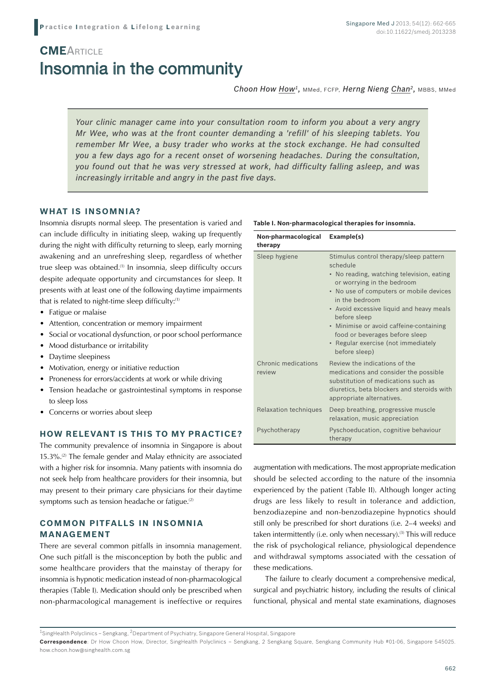# Insomnia in the community **CME**ARTICLE

*Choon How How1,* MMed, FCFP, *Herng Nieng Chan2,* MBBS, MMed

*Your clinic manager came into your consultation room to inform you about a very angry Mr Wee, who was at the front counter demanding a 'refill' of his sleeping tablets. You remember Mr Wee, a busy trader who works at the stock exchange. He had consulted you a few days ago for a recent onset of worsening headaches. During the consultation, you found out that he was very stressed at work, had difficulty falling asleep, and was increasingly irritable and angry in the past five days.* 

### **WHAT IS INSOMNIA?**

Insomnia disrupts normal sleep. The presentation is varied and can include difficulty in initiating sleep, waking up frequently during the night with difficulty returning to sleep, early morning awakening and an unrefreshing sleep, regardless of whether true sleep was obtained.(1) In insomnia, sleep difficulty occurs despite adequate opportunity and circumstances for sleep. It presents with at least one of the following daytime impairments that is related to night-time sleep difficulty:(1)

- Fatigue or malaise
- Attention, concentration or memory impairment
- Social or vocational dysfunction, or poor school performance
- Mood disturbance or irritability
- Daytime sleepiness
- Motivation, energy or initiative reduction
- Proneness for errors/accidents at work or while driving
- Tension headache or gastrointestinal symptoms in response to sleep loss
- Concerns or worries about sleep

### **HOW RELEVANT IS THIS TO MY PRACTICE?**

The community prevalence of insomnia in Singapore is about 15.3%.(2) The female gender and Malay ethnicity are associated with a higher risk for insomnia. Many patients with insomnia do not seek help from healthcare providers for their insomnia, but may present to their primary care physicians for their daytime symptoms such as tension headache or fatigue.<sup>(2)</sup>

### **COMMON PITFALLS IN INSOMNIA MANAGEMENT**

There are several common pitfalls in insomnia management. One such pitfall is the misconception by both the public and some healthcare providers that the mainstay of therapy for insomnia is hypnotic medication instead of non-pharmacological therapies (Table I). Medication should only be prescribed when non-pharmacological management is ineffective or requires

| Non-pharmacological<br>therapy | Example(s)                                                                                                                                                                                                                                                                                                                                                                                  |
|--------------------------------|---------------------------------------------------------------------------------------------------------------------------------------------------------------------------------------------------------------------------------------------------------------------------------------------------------------------------------------------------------------------------------------------|
| Sleep hygiene                  | Stimulus control therapy/sleep pattern<br>schedule<br>• No reading, watching television, eating<br>or worrying in the bedroom<br>• No use of computers or mobile devices<br>in the bedroom<br>• Avoid excessive liquid and heavy meals<br>before sleep<br>• Minimise or avoid caffeine-containing<br>food or beverages before sleep<br>• Regular exercise (not immediately<br>before sleep) |
| Chronic medications<br>review  | Review the indications of the<br>medications and consider the possible<br>substitution of medications such as<br>diuretics, beta blockers and steroids with<br>appropriate alternatives.                                                                                                                                                                                                    |
| Relaxation techniques          | Deep breathing, progressive muscle<br>relaxation, music appreciation                                                                                                                                                                                                                                                                                                                        |
| Psychotherapy                  | Pyschoeducation, cognitive behaviour<br>therapy                                                                                                                                                                                                                                                                                                                                             |

augmentation with medications. The most appropriate medication should be selected according to the nature of the insomnia experienced by the patient (Table II). Although longer acting drugs are less likely to result in tolerance and addiction, benzodiazepine and non-benzodiazepine hypnotics should still only be prescribed for short durations (i.e. 2–4 weeks) and taken intermittently (i.e. only when necessary).<sup>(3)</sup> This will reduce the risk of psychological reliance, physiological dependence and withdrawal symptoms associated with the cessation of these medications.

The failure to clearly document a comprehensive medical, surgical and psychiatric history, including the results of clinical functional, physical and mental state examinations, diagnoses

#### **Table I. Non-pharmacological therapies for insomnia.**

<sup>&</sup>lt;sup>1</sup>SingHealth Polyclinics – Sengkang, <sup>2</sup>Department of Psychiatry, Singapore General Hospital, Singapore

**Correspondence**: Dr How Choon How, Director, SingHealth Polyclinics – Sengkang, 2 Sengkang Square, Sengkang Community Hub #01-06, Singapore 545025. how.choon.how@singhealth.com.sg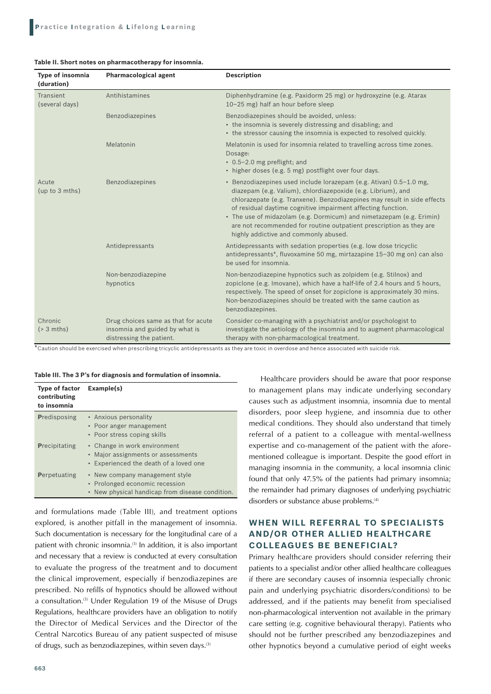#### **Table II. Short notes on pharmacotherapy for insomnia.**

| Type of insomnia<br>(duration) | <b>Pharmacological agent</b>                                                                      | <b>Description</b>                                                                                                                                                                                                                                                                                                                                                                                                                                                     |
|--------------------------------|---------------------------------------------------------------------------------------------------|------------------------------------------------------------------------------------------------------------------------------------------------------------------------------------------------------------------------------------------------------------------------------------------------------------------------------------------------------------------------------------------------------------------------------------------------------------------------|
| Transient<br>(several days)    | Antihistamines                                                                                    | Diphenhydramine (e.g. Paxidorm 25 mg) or hydroxyzine (e.g. Atarax<br>10-25 mg) half an hour before sleep                                                                                                                                                                                                                                                                                                                                                               |
|                                | Benzodiazepines                                                                                   | Benzodiazepines should be avoided, unless:<br>• the insomnia is severely distressing and disabling; and<br>• the stressor causing the insomnia is expected to resolved quickly.                                                                                                                                                                                                                                                                                        |
|                                | Melatonin                                                                                         | Melatonin is used for insomnia related to travelling across time zones.<br>Dosage:<br>• 0.5-2.0 mg preflight; and<br>• higher doses (e.g. 5 mg) postflight over four days.                                                                                                                                                                                                                                                                                             |
| Acute<br>(up to 3 mths)        | Benzodiazepines                                                                                   | · Benzodiazepines used include lorazepam (e.g. Ativan) 0.5-1.0 mg,<br>diazepam (e.g. Valium), chlordiazepoxide (e.g. Librium), and<br>chlorazepate (e.g. Tranxene). Benzodiazepines may result in side effects<br>of residual daytime cognitive impairment affecting function.<br>• The use of midazolam (e.g. Dormicum) and nimetazepam (e.g. Erimin)<br>are not recommended for routine outpatient prescription as they are<br>highly addictive and commonly abused. |
|                                | Antidepressants                                                                                   | Antidepressants with sedation properties (e.g. low dose tricyclic<br>antidepressants*, fluvoxamine 50 mg, mirtazapine 15-30 mg on) can also<br>be used for insomnia.                                                                                                                                                                                                                                                                                                   |
|                                | Non-benzodiazepine<br>hypnotics                                                                   | Non-benzodiazepine hypnotics such as zolpidem (e.g. Stilnox) and<br>zopiclone (e.g. Imovane), which have a half-life of 2.4 hours and 5 hours,<br>respectively. The speed of onset for zopiclone is approximately 30 mins.<br>Non-benzodiazepines should be treated with the same caution as<br>benzodiazepines.                                                                                                                                                       |
| Chronic<br>$( > 3$ mths)       | Drug choices same as that for acute<br>insomnia and guided by what is<br>distressing the patient. | Consider co-managing with a psychiatrist and/or psychologist to<br>investigate the aetiology of the insomnia and to augment pharmacological<br>therapy with non-pharmacological treatment.                                                                                                                                                                                                                                                                             |

\*Caution should be exercised when prescribing tricyclic antidepressants as they are toxic in overdose and hence associated with suicide risk.

#### **Table III. The 3 P's for diagnosis and formulation of insomnia.**

| <b>Type of factor</b><br>contributing<br>to insomnia | Example(s)                                                                                                          |
|------------------------------------------------------|---------------------------------------------------------------------------------------------------------------------|
| <b>Predisposing</b>                                  | • Anxious personality<br>• Poor anger management<br>• Poor stress coping skills                                     |
| <b>Precipitating</b>                                 | • Change in work environment<br>• Major assignments or assessments<br>• Experienced the death of a loved one        |
| Perpetuating                                         | • New company management style<br>• Prolonged economic recession<br>• New physical handicap from disease condition. |

and formulations made (Table III), and treatment options explored, is another pitfall in the management of insomnia. Such documentation is necessary for the longitudinal care of a patient with chronic insomnia.<sup>(3)</sup> In addition, it is also important and necessary that a review is conducted at every consultation to evaluate the progress of the treatment and to document the clinical improvement, especially if benzodiazepines are prescribed. No refills of hypnotics should be allowed without a consultation.(3) Under Regulation 19 of the Misuse of Drugs Regulations, healthcare providers have an obligation to notify the Director of Medical Services and the Director of the Central Narcotics Bureau of any patient suspected of misuse of drugs, such as benzodiazepines, within seven days.(3)

Healthcare providers should be aware that poor response to management plans may indicate underlying secondary causes such as adjustment insomnia, insomnia due to mental disorders, poor sleep hygiene, and insomnia due to other medical conditions. They should also understand that timely referral of a patient to a colleague with mental-wellness expertise and co-management of the patient with the aforementioned colleague is important. Despite the good effort in managing insomnia in the community, a local insomnia clinic found that only 47.5% of the patients had primary insomnia; the remainder had primary diagnoses of underlying psychiatric disorders or substance abuse problems.<sup>(4)</sup>

### **WHEN WILL REFERRAL TO SPECIALISTS AND/OR OTHER ALLIED HEALTHCARE COLLEAGUES BE BENEFICIAL?**

Primary healthcare providers should consider referring their patients to a specialist and/or other allied healthcare colleagues if there are secondary causes of insomnia (especially chronic pain and underlying psychiatric disorders/conditions) to be addressed, and if the patients may benefit from specialised non-pharmacological intervention not available in the primary care setting (e.g. cognitive behavioural therapy). Patients who should not be further prescribed any benzodiazepines and other hypnotics beyond a cumulative period of eight weeks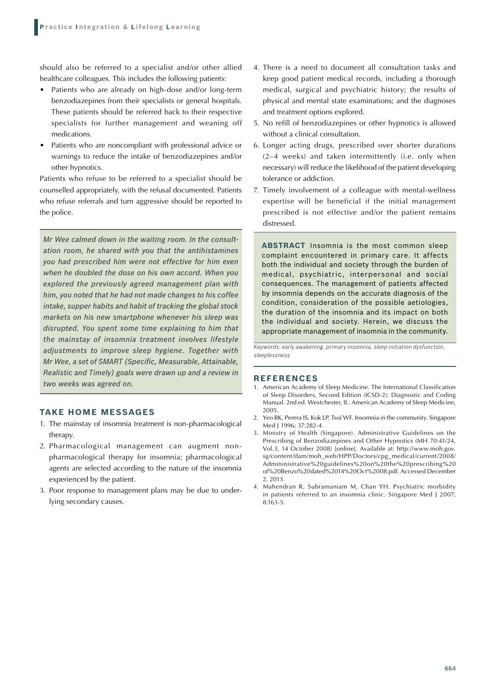should also be referred to a specialist and/or other allied healthcare colleagues. This includes the following patients:

- Patients who are already on high-dose and/or long-term benzodiazepines from their specialists or general hospitals. These patients should be referred back to their respective specialists for further management and weaning off medications.
- Patients who are noncompliant with professional advice or warnings to reduce the intake of benzodiazepines and/or other hypnotics.

Patients who refuse to be referred to a specialist should be counselled appropriately, with the refusal documented. Patients who refuse referrals and turn aggressive should be reported to the police.

*Mr Wee calmed down in the waiting room. In the consultation room, he shared with you that the antihistamines you had prescribed him were not effective for him even when he doubled the dose on his own accord. When you explored the previously agreed management plan with him, you noted that he had not made changes to his coffee intake, supper habits and habit of tracking the global stock markets on his new smartphone whenever his sleep was disrupted. You spent some time explaining to him that the mainstay of insomnia treatment involves lifestyle adjustments to improve sleep hygiene. Together with Mr Wee, a set of SMART (Specific, Measurable, Attainable, Realistic and Timely) goals were drawn up and a review in two weeks was agreed on.*

### **Take Home Messages**

- 1. The mainstay of insomnia treatment is non-pharmacological therapy.
- 2. Pharmacological management can augment nonpharmacological therapy for insomnia; pharmacological agents are selected according to the nature of the insomnia experienced by the patient.
- 3. Poor response to management plans may be due to underlying secondary causes.
- 4. There is a need to document all consultation tasks and keep good patient medical records, including a thorough medical, surgical and psychiatric history; the results of physical and mental state examinations; and the diagnoses and treatment options explored.
- 5. No refill of benzodiazepines or other hypnotics is allowed without a clinical consultation.
- 6. Longer acting drugs, prescribed over shorter durations (2–4 weeks) and taken intermittently (i.e. only when necessary) will reduce the likelihood of the patient developing tolerance or addiction.
- 7. Timely involvement of a colleague with mental-wellness expertise will be beneficial if the initial management prescribed is not effective and/or the patient remains distressed.

**ABSTRACT** Insomnia is the most common sleep complaint encountered in primary care. It affects both the individual and society through the burden of medical, psychiatric, interpersonal and social consequences. The management of patients affected by insomnia depends on the accurate diagnosis of the condition, consideration of the possible aetiologies, the duration of the insomnia and its impact on both the individual and society. Herein, we discuss the appropriate management of insomnia in the community.

*Keywords: early awakening, primary insomnia, sleep initiation dysfunction, sleeplessness*

#### **REFERENCES**

- 1. American Academy of Sleep Medicine. The International Classification of Sleep Disorders, Second Edition (ICSD-2): Diagnostic and Coding Manual. 2nd ed. Westchester, IL: American Academy of Sleep Medicine, 2005.
- 2. Yeo BK, Perera IS, Kok LP, Tsoi WF. Insomnia in the community. Singapore Med J 1996; 37:282-4.
- 3. Ministry of Health (Singapore). Administrative Guidelines on the Prescribing of Benzodiazepines and Other Hypnotics (MH 70:41/24, Vol.3, 14 October 2008) [online]. Available at: http://www.moh.gov. sg/content/dam/moh\_web/HPP/Doctors/cpg\_medical/current/2008/ Admininistrative%20guidelines%20on%20the%20prescribing%20 of%20Benzo%20dated%2014%20Oct%2008.pdf. Accessed December 2, 2013.
- 4. Mahendran R, Subramaniam M, Chan YH. Psychiatric morbidity in patients referred to an insomnia clinic. Singapore Med J 2007; 8:163-5.